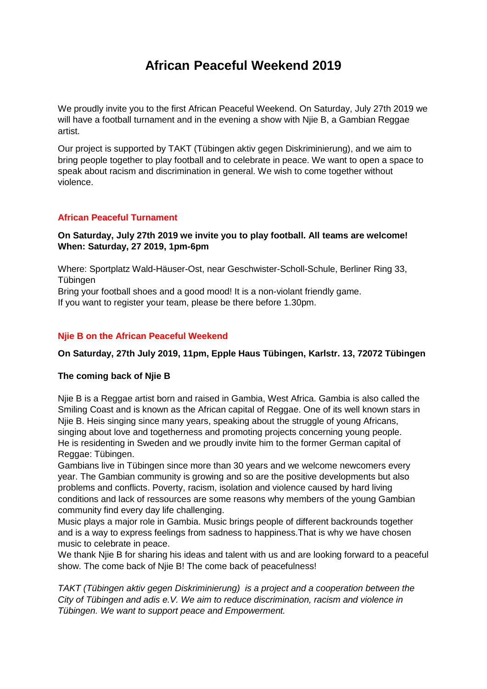# **African Peaceful Weekend 2019**

We proudly invite you to the first African Peaceful Weekend. On Saturday, July 27th 2019 we will have a football turnament and in the evening a show with Njie B, a Gambian Reggae artist.

Our project is supported by TAKT (Tübingen aktiv gegen Diskriminierung), and we aim to bring people together to play football and to celebrate in peace. We want to open a space to speak about racism and discrimination in general. We wish to come together without violence.

## **African Peaceful Turnament**

### **On Saturday, July 27th 2019 we invite you to play football. All teams are welcome! When: Saturday, 27 2019, 1pm-6pm**

Where: Sportplatz Wald-Häuser-Ost, near Geschwister-Scholl-Schule, Berliner Ring 33, Tübingen

Bring your football shoes and a good mood! It is a non-violant friendly game. If you want to register your team, please be there before 1.30pm.

## **Njie B on the African Peaceful Weekend**

#### **On Saturday, 27th July 2019, 11pm, Epple Haus Tübingen, Karlstr. 13, 72072 Tübingen**

#### **The coming back of Njie B**

Njie B is a Reggae artist born and raised in Gambia, West Africa. Gambia is also called the Smiling Coast and is known as the African capital of Reggae. One of its well known stars in Njie B. Heis singing since many years, speaking about the struggle of young Africans, singing about love and togetherness and promoting projects concerning young people. He is residenting in Sweden and we proudly invite him to the former German capital of Reggae: Tübingen.

Gambians live in Tübingen since more than 30 years and we welcome newcomers every year. The Gambian community is growing and so are the positive developments but also problems and conflicts. Poverty, racism, isolation and violence caused by hard living conditions and lack of ressources are some reasons why members of the young Gambian community find every day life challenging.

Music plays a major role in Gambia. Music brings people of different backrounds together and is a way to express feelings from sadness to happiness.That is why we have chosen music to celebrate in peace.

We thank Nije B for sharing his ideas and talent with us and are looking forward to a peaceful show. The come back of Njie B! The come back of peacefulness!

*TAKT (Tübingen aktiv gegen Diskriminierung) is a project and a cooperation between the City of Tübingen and adis e.V. We aim to reduce discrimination, racism and violence in Tübingen. We want to support peace and Empowerment.*